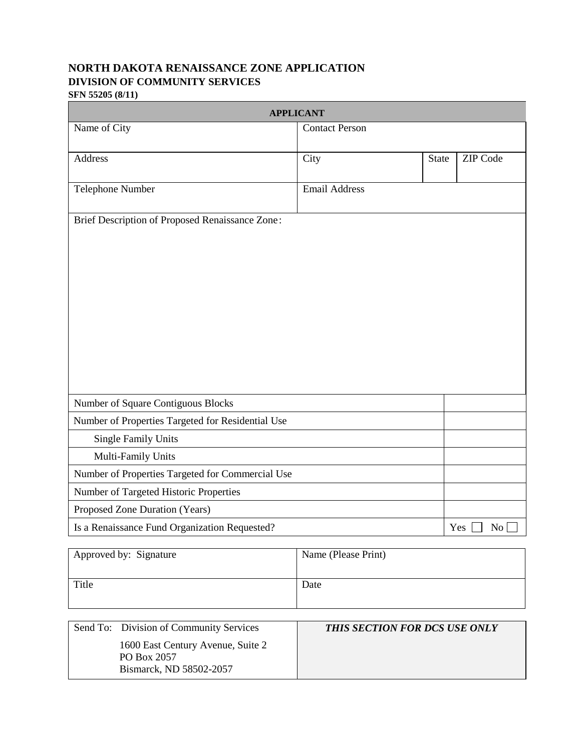# **NORTH DAKOTA RENAISSANCE ZONE APPLICATION DIVISION OF COMMUNITY SERVICES**

**SFN 55205 (8/11)**

| <b>APPLICANT</b>                                                                        |                                                                                     |              |                 |
|-----------------------------------------------------------------------------------------|-------------------------------------------------------------------------------------|--------------|-----------------|
| Name of City                                                                            | <b>Contact Person</b>                                                               |              |                 |
| Address                                                                                 | City                                                                                | <b>State</b> | <b>ZIP</b> Code |
| Telephone Number                                                                        | <b>Email Address</b>                                                                |              |                 |
| Brief Description of Proposed Renaissance Zone:                                         |                                                                                     |              |                 |
| Number of Square Contiguous Blocks<br>Number of Properties Targeted for Residential Use |                                                                                     |              |                 |
| <b>Single Family Units</b>                                                              |                                                                                     |              |                 |
| Multi-Family Units                                                                      |                                                                                     |              |                 |
| Number of Properties Targeted for Commercial Use                                        |                                                                                     |              |                 |
| Number of Targeted Historic Properties                                                  |                                                                                     |              |                 |
| Proposed Zone Duration (Years)                                                          |                                                                                     |              |                 |
| Is a Renaissance Fund Organization Requested?                                           |                                                                                     |              | No<br>Yes       |
| $\lambda$ nnoved hru Cianatura                                                          | $\mathbf{N}_{\text{ama}}$ ( $\mathbf{D}_{\text{aaaa}}$ $\mathbf{D}_{\text{wind}}$ ) |              |                 |

| Approved by: Signature | Name (Please Print) |
|------------------------|---------------------|
| Title                  | Date                |

| Send To: Division of Community Services | THIS SECTION FOR DCS USE ONLY |
|-----------------------------------------|-------------------------------|
| 1600 East Century Avenue, Suite 2       |                               |
| PO Box 2057                             |                               |
| Bismarck, ND 58502-2057                 |                               |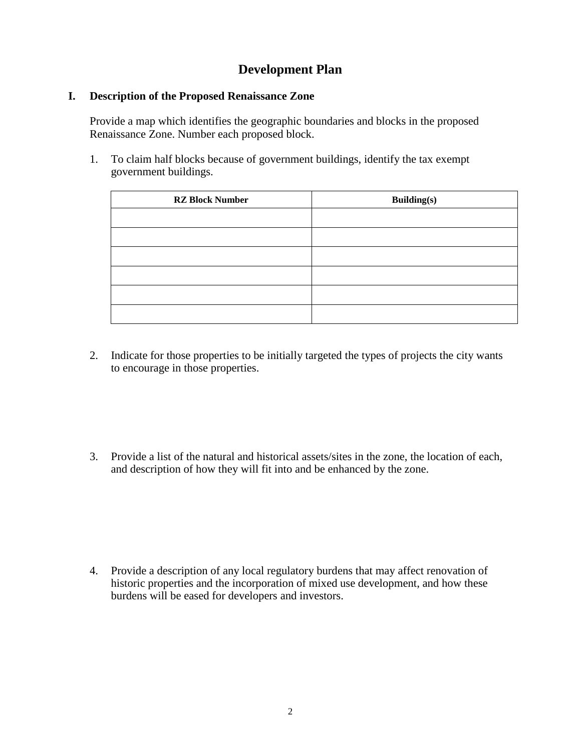## **Development Plan**

### **I. Description of the Proposed Renaissance Zone**

Provide a map which identifies the geographic boundaries and blocks in the proposed Renaissance Zone. Number each proposed block.

1. To claim half blocks because of government buildings, identify the tax exempt government buildings.

| <b>RZ Block Number</b> | <b>Building(s)</b> |  |
|------------------------|--------------------|--|
|                        |                    |  |
|                        |                    |  |
|                        |                    |  |
|                        |                    |  |
|                        |                    |  |
|                        |                    |  |

- 2. Indicate for those properties to be initially targeted the types of projects the city wants to encourage in those properties.
- 3. Provide a list of the natural and historical assets/sites in the zone, the location of each, and description of how they will fit into and be enhanced by the zone.

4. Provide a description of any local regulatory burdens that may affect renovation of historic properties and the incorporation of mixed use development, and how these burdens will be eased for developers and investors.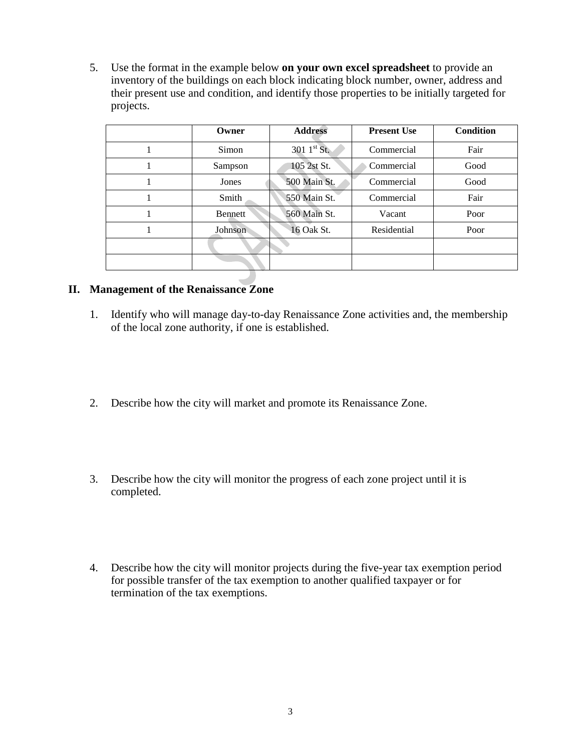5. Use the format in the example below **on your own excel spreadsheet** to provide an inventory of the buildings on each block indicating block number, owner, address and their present use and condition, and identify those properties to be initially targeted for projects.

| Owner          | <b>Address</b>          | <b>Present Use</b> | <b>Condition</b> |
|----------------|-------------------------|--------------------|------------------|
| Simon          | 301 $1^{\text{st}}$ St. | Commercial         | Fair             |
| Sampson        | 105 2st St.             | Commercial         | Good             |
| Jones          | 500 Main St.            | Commercial         | Good             |
| Smith          | 550 Main St.            | Commercial         | Fair             |
| <b>Bennett</b> | 560 Main St.            | Vacant             | Poor             |
| Johnson        | 16 Oak St.              | Residential        | Poor             |
|                |                         |                    |                  |
|                |                         |                    |                  |

## **II. Management of the Renaissance Zone**

- 1. Identify who will manage day-to-day Renaissance Zone activities and, the membership of the local zone authority, if one is established.
- 2. Describe how the city will market and promote its Renaissance Zone.
- 3. Describe how the city will monitor the progress of each zone project until it is completed.
- 4. Describe how the city will monitor projects during the five-year tax exemption period for possible transfer of the tax exemption to another qualified taxpayer or for termination of the tax exemptions.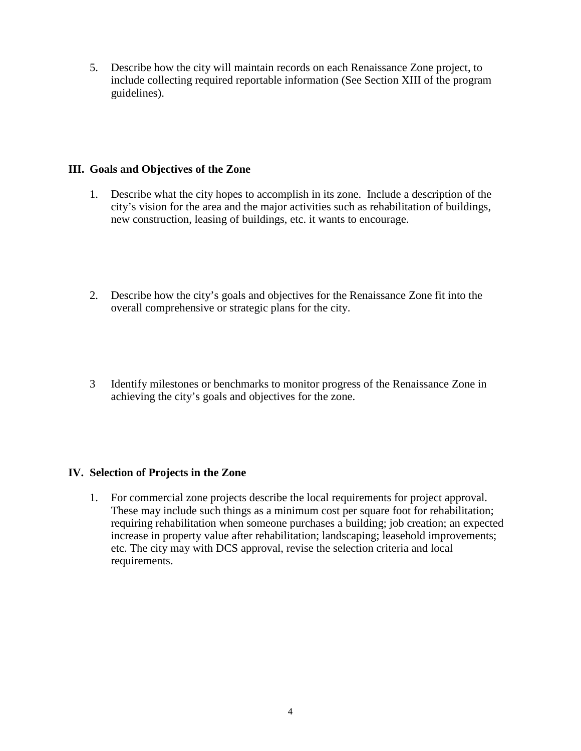5. Describe how the city will maintain records on each Renaissance Zone project, to include collecting required reportable information (See Section XIII of the program guidelines).

#### **III. Goals and Objectives of the Zone**

- 1. Describe what the city hopes to accomplish in its zone. Include a description of the city's vision for the area and the major activities such as rehabilitation of buildings, new construction, leasing of buildings, etc. it wants to encourage.
- 2. Describe how the city's goals and objectives for the Renaissance Zone fit into the overall comprehensive or strategic plans for the city.
- 3 Identify milestones or benchmarks to monitor progress of the Renaissance Zone in achieving the city's goals and objectives for the zone.

## **IV. Selection of Projects in the Zone**

1. For commercial zone projects describe the local requirements for project approval. These may include such things as a minimum cost per square foot for rehabilitation; requiring rehabilitation when someone purchases a building; job creation; an expected increase in property value after rehabilitation; landscaping; leasehold improvements; etc. The city may with DCS approval, revise the selection criteria and local requirements.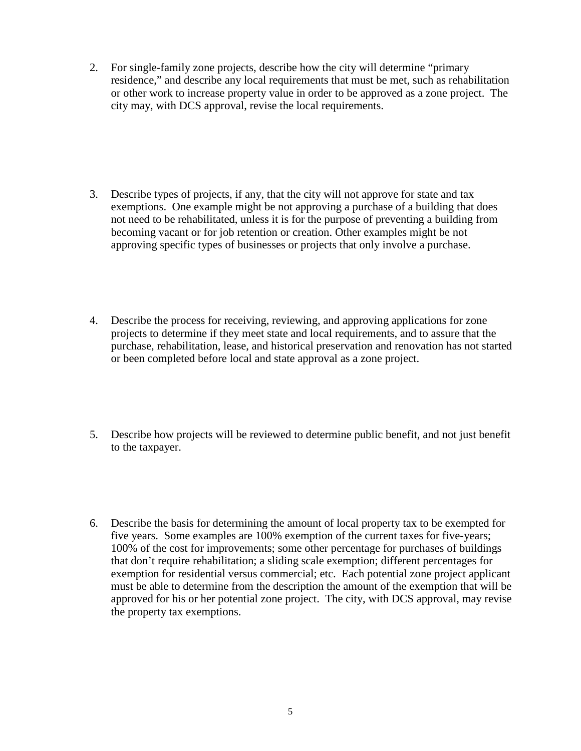2. For single-family zone projects, describe how the city will determine "primary residence," and describe any local requirements that must be met, such as rehabilitation or other work to increase property value in order to be approved as a zone project. The city may, with DCS approval, revise the local requirements.

- 3. Describe types of projects, if any, that the city will not approve for state and tax exemptions. One example might be not approving a purchase of a building that does not need to be rehabilitated, unless it is for the purpose of preventing a building from becoming vacant or for job retention or creation. Other examples might be not approving specific types of businesses or projects that only involve a purchase.
- 4. Describe the process for receiving, reviewing, and approving applications for zone projects to determine if they meet state and local requirements, and to assure that the purchase, rehabilitation, lease, and historical preservation and renovation has not started or been completed before local and state approval as a zone project.
- 5. Describe how projects will be reviewed to determine public benefit, and not just benefit to the taxpayer.
- 6. Describe the basis for determining the amount of local property tax to be exempted for five years. Some examples are 100% exemption of the current taxes for five-years; 100% of the cost for improvements; some other percentage for purchases of buildings that don't require rehabilitation; a sliding scale exemption; different percentages for exemption for residential versus commercial; etc. Each potential zone project applicant must be able to determine from the description the amount of the exemption that will be approved for his or her potential zone project. The city, with DCS approval, may revise the property tax exemptions.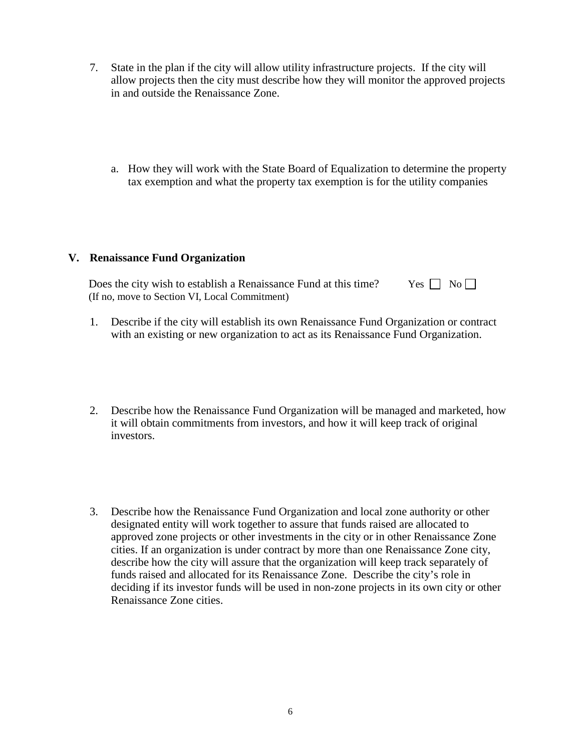- 7. State in the plan if the city will allow utility infrastructure projects. If the city will allow projects then the city must describe how they will monitor the approved projects in and outside the Renaissance Zone.
	- a. How they will work with the State Board of Equalization to determine the property tax exemption and what the property tax exemption is for the utility companies

#### **V. Renaissance Fund Organization**

| Does the city wish to establish a Renaissance Fund at this time? | $Yes \Box No \Box$ |
|------------------------------------------------------------------|--------------------|
| (If no, move to Section VI, Local Commitment)                    |                    |

- 1. Describe if the city will establish its own Renaissance Fund Organization or contract with an existing or new organization to act as its Renaissance Fund Organization.
- 2. Describe how the Renaissance Fund Organization will be managed and marketed, how it will obtain commitments from investors, and how it will keep track of original investors.
- 3. Describe how the Renaissance Fund Organization and local zone authority or other designated entity will work together to assure that funds raised are allocated to approved zone projects or other investments in the city or in other Renaissance Zone cities. If an organization is under contract by more than one Renaissance Zone city, describe how the city will assure that the organization will keep track separately of funds raised and allocated for its Renaissance Zone. Describe the city's role in deciding if its investor funds will be used in non-zone projects in its own city or other Renaissance Zone cities.